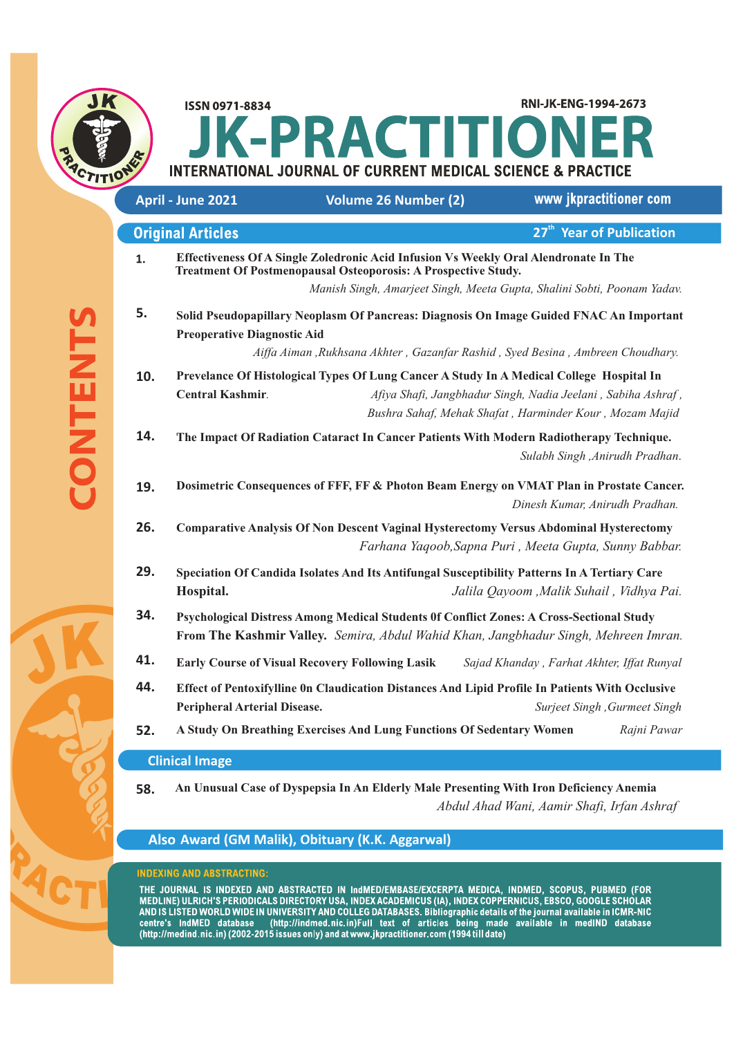

RNI-JK-ENG-1994-2673 **ISSN 0971-8834 K-PRACTITION INTERNATIONAL JOURNAL OF CURRENT MEDICAL SCIENCE & PRACTICE** 

|     | April - June 2021                                                                                                                                                                                                | <b>Volume 26 Number (2)</b>                                                                                                                                   | www jkpractitioner com                                                                                                  |
|-----|------------------------------------------------------------------------------------------------------------------------------------------------------------------------------------------------------------------|---------------------------------------------------------------------------------------------------------------------------------------------------------------|-------------------------------------------------------------------------------------------------------------------------|
|     | <b>Original Articles</b>                                                                                                                                                                                         |                                                                                                                                                               | 27 <sup>th</sup> Year of Publication                                                                                    |
| 1.  |                                                                                                                                                                                                                  | Effectiveness Of A Single Zoledronic Acid Infusion Vs Weekly Oral Alendronate In The<br><b>Treatment Of Postmenopausal Osteoporosis: A Prospective Study.</b> | Manish Singh, Amarjeet Singh, Meeta Gupta, Shalini Sobti, Poonam Yadav.                                                 |
| 5.  | Solid Pseudopapillary Neoplasm Of Pancreas: Diagnosis On Image Guided FNAC An Important<br><b>Preoperative Diagnostic Aid</b><br>Aiffa Aiman , Rukhsana Akhter, Gazanfar Rashid, Syed Besina, Ambreen Choudhary. |                                                                                                                                                               |                                                                                                                         |
| 10. | <b>Central Kashmir.</b>                                                                                                                                                                                          | Prevelance Of Histological Types Of Lung Cancer A Study In A Medical College Hospital In                                                                      | Afiya Shafi, Jangbhadur Singh, Nadia Jeelani, Sabiha Ashraf,<br>Bushra Sahaf, Mehak Shafat, Harminder Kour, Mozam Majid |
| 14. |                                                                                                                                                                                                                  | The Impact Of Radiation Cataract In Cancer Patients With Modern Radiotherapy Technique.                                                                       | Sulabh Singh , Anirudh Pradhan.                                                                                         |
| 19. |                                                                                                                                                                                                                  | Dosimetric Consequences of FFF, FF & Photon Beam Energy on VMAT Plan in Prostate Cancer.                                                                      | Dinesh Kumar, Anirudh Pradhan.                                                                                          |
| 26. |                                                                                                                                                                                                                  | <b>Comparative Analysis Of Non Descent Vaginal Hysterectomy Versus Abdominal Hysterectomy</b>                                                                 | Farhana Yaqoob, Sapna Puri, Meeta Gupta, Sunny Babbar.                                                                  |
| 29. | Hospital.                                                                                                                                                                                                        | Speciation Of Candida Isolates And Its Antifungal Susceptibility Patterns In A Tertiary Care                                                                  | Jalila Qayoom , Malik Suhail, Vidhya Pai.                                                                               |
| 34. | Psychological Distress Among Medical Students Of Conflict Zones: A Cross-Sectional Study<br>From The Kashmir Valley. Semira, Abdul Wahid Khan, Jangbhadur Singh, Mehreen Imran.                                  |                                                                                                                                                               |                                                                                                                         |
| 41. |                                                                                                                                                                                                                  | <b>Early Course of Visual Recovery Following Lasik</b>                                                                                                        | Sajad Khanday, Farhat Akhter, Iffat Runyal                                                                              |
| 44. | <b>Peripheral Arterial Disease.</b>                                                                                                                                                                              | Effect of Pentoxifylline On Claudication Distances And Lipid Profile In Patients With Occlusive                                                               | Surjeet Singh , Gurmeet Singh                                                                                           |
| 52. |                                                                                                                                                                                                                  | A Study On Breathing Exercises And Lung Functions Of Sedentary Women                                                                                          | Rajni Pawar                                                                                                             |
|     | <b>Clinical Image</b>                                                                                                                                                                                            |                                                                                                                                                               |                                                                                                                         |

**58. An Unusual Case of Dyspepsia In An Elderly Male Presenting With Iron Deficiency Anemia**  *Abdul Ahad Wani, Aamir Shafi, Irfan Ashraf* 

# **Award (GM Malik), Obituary (K.K. Aggarwal)**

### **INDEXING AND ABSTRACTING:**

THE JOURNAL IS INDEXED AND ABSTRACTED IN IndMED/EMBASE/EXCERPTA MEDICA, INDMED, SCOPUS, PUBMED (FOR<br>MEDLINE) ULRICH'S PERIODICALS DIRECTORY USA, INDEX ACADEMICUS (IA), INDEX COPPERNICUS, EBSCO, GOOGLE SCHOLAR<br>AND IS LISTED centre's IndMED database (http://indmed.nic.in)Full text of articles being made available in medIND database<br>(http://medind.nic.in)(2002-2015 issues only) and at www.jkpractitioner.com(1994 till date)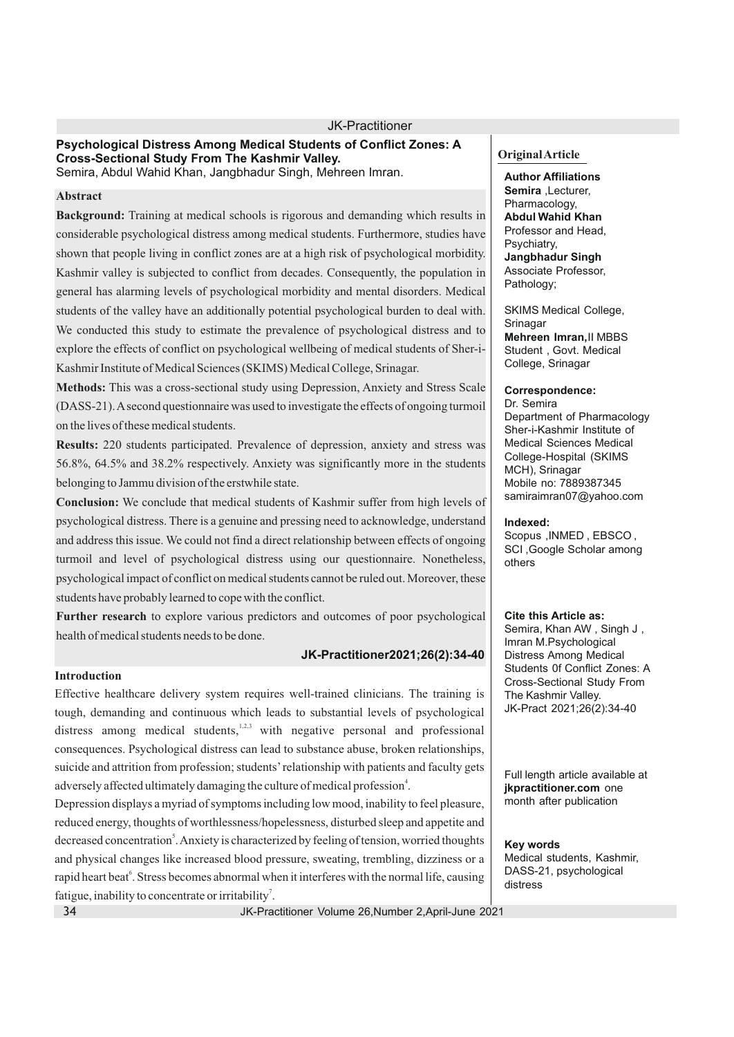#### **Psychological Distress Among Medical Students of Conflict Zones: A Cross-Sectional Study From The Kashmir Valley.** Semira, Abdul Wahid Khan, Jangbhadur Singh, Mehreen Imran.

#### **Abstract**

**Background:** Training at medical schools is rigorous and demanding which results in considerable psychological distress among medical students. Furthermore, studies have shown that people living in conflict zones are at a high risk of psychological morbidity. Kashmir valley is subjected to conflict from decades. Consequently, the population in general has alarming levels of psychological morbidity and mental disorders. Medical students of the valley have an additionally potential psychological burden to deal with. We conducted this study to estimate the prevalence of psychological distress and to explore the effects of conflict on psychological wellbeing of medical students of Sher-i-Kashmir Institute of Medical Sciences (SKIMS) Medical College, Srinagar.

**Methods:** This was a cross-sectional study using Depression, Anxiety and Stress Scale (DASS-21). Asecond questionnaire was used to investigate the effects of ongoing turmoil on the lives of these medical students.

**Results:** 220 students participated. Prevalence of depression, anxiety and stress was 56.8%, 64.5% and 38.2% respectively. Anxiety was significantly more in the students belonging to Jammu division of the erstwhile state.

**Conclusion:** We conclude that medical students of Kashmir suffer from high levels of psychological distress. There is a genuine and pressing need to acknowledge, understand and address this issue. We could not find a direct relationship between effects of ongoing turmoil and level of psychological distress using our questionnaire. Nonetheless, psychological impact of conflict on medical students cannot be ruled out. Moreover, these students have probably learned to cope with the conflict.

**Further research** to explore various predictors and outcomes of poor psychological health of medical students needs to be done.

### **JK-Practitioner2021;26(2):34-40**

### **Introduction**

Effective healthcare delivery system requires well-trained clinicians. The training is tough, demanding and continuous which leads to substantial levels of psychological distress among medical students,<sup>1,2,3</sup> with negative personal and professional consequences. Psychological distress can lead to substance abuse, broken relationships, suicide and attrition from profession; students'relationship with patients and faculty gets adversely affected ultimately damaging the culture of medical profession<sup>4</sup>.

Depression displays a myriad of symptoms including low mood, inability to feel pleasure, reduced energy, thoughts of worthlessness/hopelessness, disturbed sleep and appetite and decreased concentration<sup>5</sup>. Anxiety is characterized by feeling of tension, worried thoughts and physical changes like increased blood pressure, sweating, trembling, dizziness or a rapid heart beat<sup>6</sup>. Stress becomes abnormal when it interferes with the normal life, causing fatigue, inability to concentrate or irritability<sup>7</sup>.

JK-Practitioner Volume 26,Number 2,April-June 2021

#### **Original Article**

**Author Affiliations Semira** ,Lecturer, Pharmacology, **Abdul Wahid Khan** Professor and Head, Psychiatry, **Jangbhadur Singh** Associate Professor, Pathology;

SKIMS Medical College, Srinagar **Mehreen Imran,**II MBBS Student , Govt. Medical College, Srinagar

### **Correspondence:**

Dr. Semira Department of Pharmacology Sher-i-Kashmir Institute of Medical Sciences Medical College-Hospital (SKIMS MCH), Srinagar Mobile no: 7889387345 samiraimran07@yahoo.com

#### **Indexed:**

Scopus ,INMED , EBSCO , SCI ,Google Scholar among others

#### **Cite this Article as:**

Semira, Khan AW , Singh J , Imran M.Psychological Distress Among Medical Students 0f Conflict Zones: A Cross-Sectional Study From The Kashmir Valley. JK-Pract 2021;26(2):34-40

Full length article available at **jkpractitioner.com** one month after publication

### **Key words**

Medical students, Kashmir, DASS-21, psychological distress

34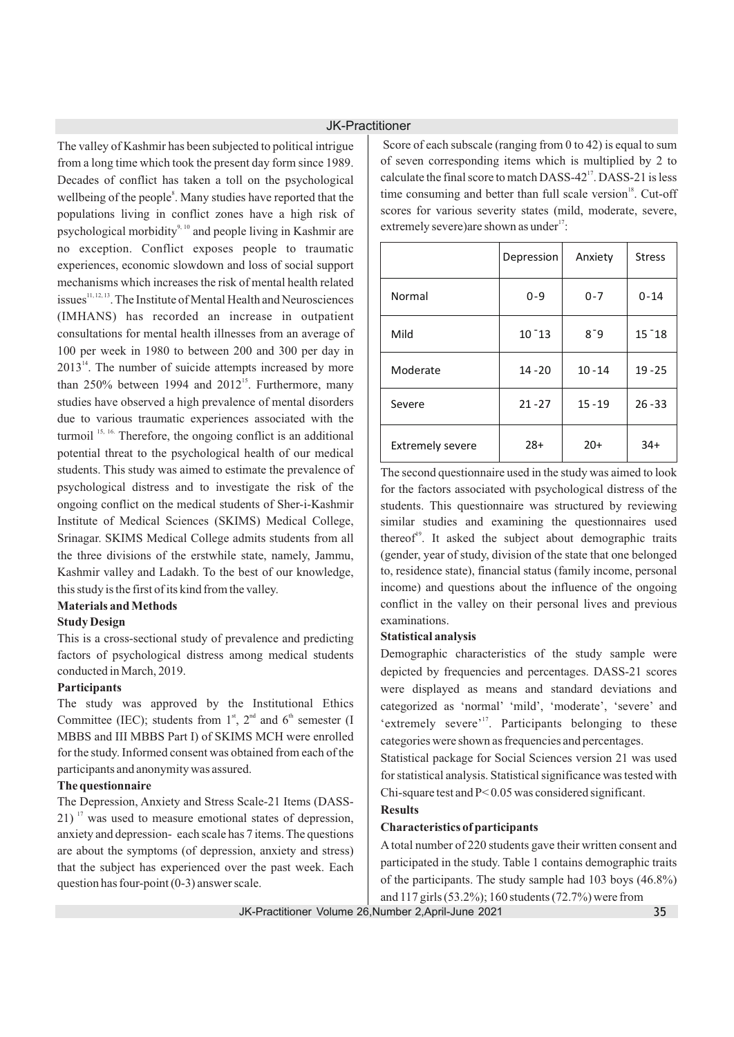The valley of Kashmir has been subjected to political intrigue from a long time which took the present day form since 1989. Decades of conflict has taken a toll on the psychological wellbeing of the people<sup>8</sup>. Many studies have reported that the populations living in conflict zones have a high risk of psychological morbidity<sup>9, 10</sup> and people living in Kashmir are no exception. Conflict exposes people to traumatic experiences, economic slowdown and loss of social support mechanisms which increases the risk of mental health related issues<sup>11, 12, 13</sup>. The Institute of Mental Health and Neurosciences (IMHANS) has recorded an increase in outpatient consultations for mental health illnesses from an average of 100 per week in 1980 to between 200 and 300 per day in  $2013<sup>14</sup>$ . The number of suicide attempts increased by more than  $250\%$  between 1994 and  $2012^{15}$ . Furthermore, many studies have observed a high prevalence of mental disorders due to various traumatic experiences associated with the turmoil  $15, 16$ . Therefore, the ongoing conflict is an additional potential threat to the psychological health of our medical students. This study was aimed to estimate the prevalence of psychological distress and to investigate the risk of the ongoing conflict on the medical students of Sher-i-Kashmir Institute of Medical Sciences (SKIMS) Medical College, Srinagar. SKIMS Medical College admits students from all the three divisions of the erstwhile state, namely, Jammu, Kashmir valley and Ladakh. To the best of our knowledge, this study is the first of its kind from the valley.

### **Materials and Methods**

#### **Study Design**

This is a cross-sectional study of prevalence and predicting factors of psychological distress among medical students conducted in March, 2019.

#### **Participants**

The study was approved by the Institutional Ethics Committee (IEC); students from  $1<sup>st</sup>$ ,  $2<sup>nd</sup>$  and  $6<sup>th</sup>$  semester (I MBBS and III MBBS Part I) of SKIMS MCH were enrolled for the study. Informed consent was obtained from each of the participants and anonymity was assured.

#### **The questionnaire**

The Depression, Anxiety and Stress Scale-21 Items (DASS- $21$ )<sup>17</sup> was used to measure emotional states of depression, anxiety and depression- each scale has 7 items. The questions are about the symptoms (of depression, anxiety and stress) that the subject has experienced over the past week. Each question has four-point (0-3) answer scale.

Score of each subscale (ranging from 0 to 42) is equal to sum of seven corresponding items which is multiplied by 2 to calculate the final score to match DASS-42<sup>17</sup>. DASS-21 is less time consuming and better than full scale version  $18$ . Cut-off scores for various severity states (mild, moderate, severe, extremely severe)are shown as under $17$ :

|                         | Depression | Anxiety   | <b>Stress</b> |
|-------------------------|------------|-----------|---------------|
| Normal                  | $0 - 9$    | $0 - 7$   | $0 - 14$      |
| Mild                    | $10 - 13$  | $8 - 9$   | $15 - 18$     |
| Moderate                | $14 - 20$  | $10 - 14$ | $19 - 25$     |
| Severe                  | $21 - 27$  | $15 - 19$ | $26 - 33$     |
| <b>Extremely severe</b> | $28+$      | $20+$     | $34+$         |

The second questionnaire used in the study was aimed to look for the factors associated with psychological distress of the students. This questionnaire was structured by reviewing similar studies and examining the questionnaires used thereof<sup>19</sup>. It asked the subject about demographic traits (gender, year of study, division of the state that one belonged to, residence state), financial status (family income, personal income) and questions about the influence of the ongoing conflict in the valley on their personal lives and previous examinations.

#### **Statistical analysis**

Demographic characteristics of the study sample were depicted by frequencies and percentages. DASS-21 scores were displayed as means and standard deviations and categorized as 'normal' 'mild', 'moderate', 'severe' and 'extremely severe'<sup>17</sup>. Participants belonging to these categories were shown as frequencies and percentages.

Statistical package for Social Sciences version 21 was used for statistical analysis. Statistical significance was tested with Chi-square test and P< 0.05 was considered significant.

## **Results**

#### **Characteristics of participants**

Atotal number of 220 students gave their written consent and participated in the study. Table 1 contains demographic traits of the participants. The study sample had 103 boys (46.8%) and 117 girls (53.2%); 160 students (72.7%) were from

JK-Practitioner Volume 26,Number 2,April-June 2021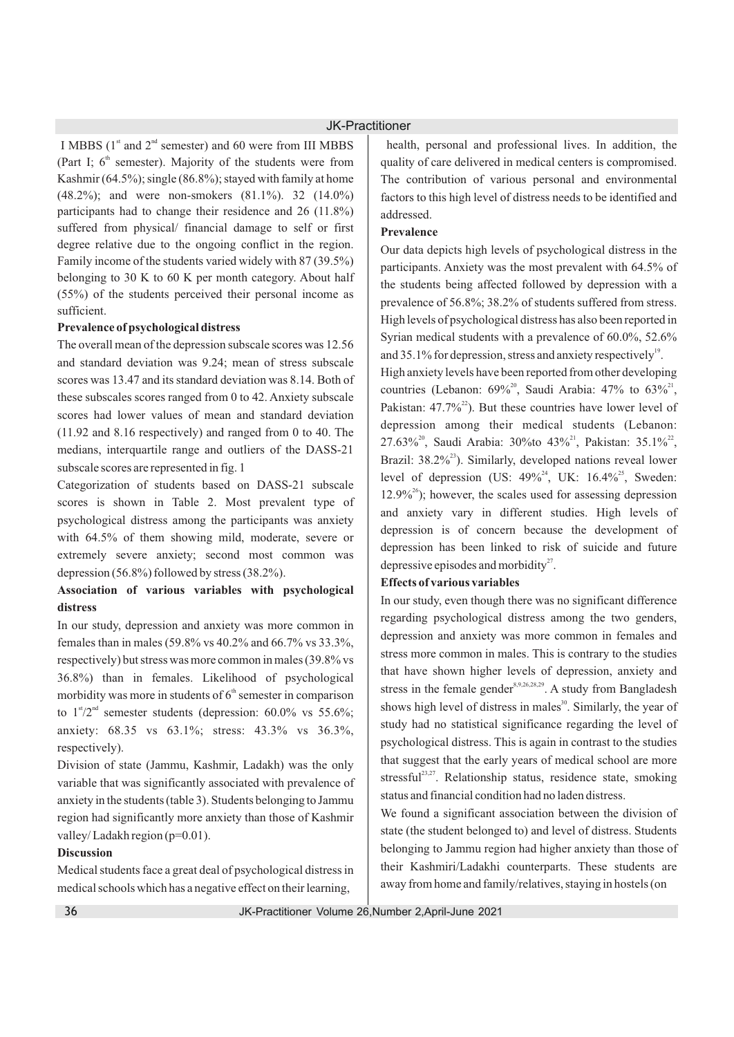I MBBS ( $1<sup>st</sup>$  and  $2<sup>nd</sup>$  semester) and 60 were from III MBBS (Part I;  $6<sup>th</sup>$  semester). Majority of the students were from Kashmir (64.5%); single (86.8%); stayed with family at home (48.2%); and were non-smokers (81.1%). 32 (14.0%) participants had to change their residence and 26 (11.8%) suffered from physical/ financial damage to self or first degree relative due to the ongoing conflict in the region. Family income of the students varied widely with 87 (39.5%) belonging to 30 K to 60 K per month category. About half (55%) of the students perceived their personal income as sufficient.

### **Prevalence of psychological distress**

The overall mean of the depression subscale scores was 12.56 and standard deviation was 9.24; mean of stress subscale scores was 13.47 and its standard deviation was 8.14. Both of these subscales scores ranged from 0 to 42. Anxiety subscale scores had lower values of mean and standard deviation (11.92 and 8.16 respectively) and ranged from 0 to 40. The medians, interquartile range and outliers of the DASS-21 subscale scores are represented in fig. 1

Categorization of students based on DASS-21 subscale scores is shown in Table 2. Most prevalent type of psychological distress among the participants was anxiety with 64.5% of them showing mild, moderate, severe or extremely severe anxiety; second most common was depression (56.8%) followed by stress (38.2%).

## **Association of various variables with psychological distress**

In our study, depression and anxiety was more common in females than in males (59.8% vs 40.2% and 66.7% vs 33.3%, respectively) but stress was more common in males (39.8% vs 36.8%) than in females. Likelihood of psychological morbidity was more in students of  $6<sup>th</sup>$  semester in comparison to  $1$ <sup>st</sup>/2<sup>nd</sup> semester students (depression: 60.0% vs 55.6%; anxiety: 68.35 vs 63.1%; stress: 43.3% vs 36.3%, respectively).

Division of state (Jammu, Kashmir, Ladakh) was the only variable that was significantly associated with prevalence of anxiety in the students (table 3). Students belonging to Jammu region had significantly more anxiety than those of Kashmir valley/Ladakh region (p=0.01).

### **Discussion**

Medical students face a great deal of psychological distress in medical schools which has a negative effect on their learning,

health, personal and professional lives. In addition, the quality of care delivered in medical centers is compromised. The contribution of various personal and environmental factors to this high level of distress needs to be identified and addressed.

### **Prevalence**

Our data depicts high levels of psychological distress in the participants. Anxiety was the most prevalent with 64.5% of the students being affected followed by depression with a prevalence of 56.8%; 38.2% of students suffered from stress. High levels of psychological distress has also been reported in Syrian medical students with a prevalence of 60.0%, 52.6% and 35.1% for depression, stress and anxiety respectively  $\mu$ <sup>19</sup>.

High anxiety levels have been reported from other developing countries (Lebanon:  $69\%$ <sup>20</sup>, Saudi Arabia:  $47\%$  to  $63\%$ <sup>21</sup>, Pakistan:  $47.7\%^{22}$ ). But these countries have lower level of depression among their medical students (Lebanon:  $27.63\%$ <sup>20</sup>, Saudi Arabia: 30%to 43%<sup>21</sup>, Pakistan: 35.1%<sup>22</sup>, Brazil:  $38.2\%$ <sup>23</sup>). Similarly, developed nations reveal lower level of depression (US:  $49\%^{24}$ , UK:  $16.4\%^{25}$ , Sweden:  $12.9\%$ <sup>26</sup>); however, the scales used for assessing depression and anxiety vary in different studies. High levels of depression is of concern because the development of depression has been linked to risk of suicide and future depressive episodes and morbidity $2^7$ .

### **Effects of various variables**

In our study, even though there was no significant difference regarding psychological distress among the two genders, depression and anxiety was more common in females and stress more common in males. This is contrary to the studies that have shown higher levels of depression, anxiety and stress in the female gender  $s^{9,26,28,29}$ . A study from Bangladesh shows high level of distress in males<sup>30</sup>. Similarly, the year of study had no statistical significance regarding the level of psychological distress. This is again in contrast to the studies that suggest that the early years of medical school are more stressful<sup>23,27</sup>. Relationship status, residence state, smoking status and financial condition had no laden distress.

We found a significant association between the division of state (the student belonged to) and level of distress. Students belonging to Jammu region had higher anxiety than those of their Kashmiri/Ladakhi counterparts. These students are away from home and family/relatives, staying in hostels (on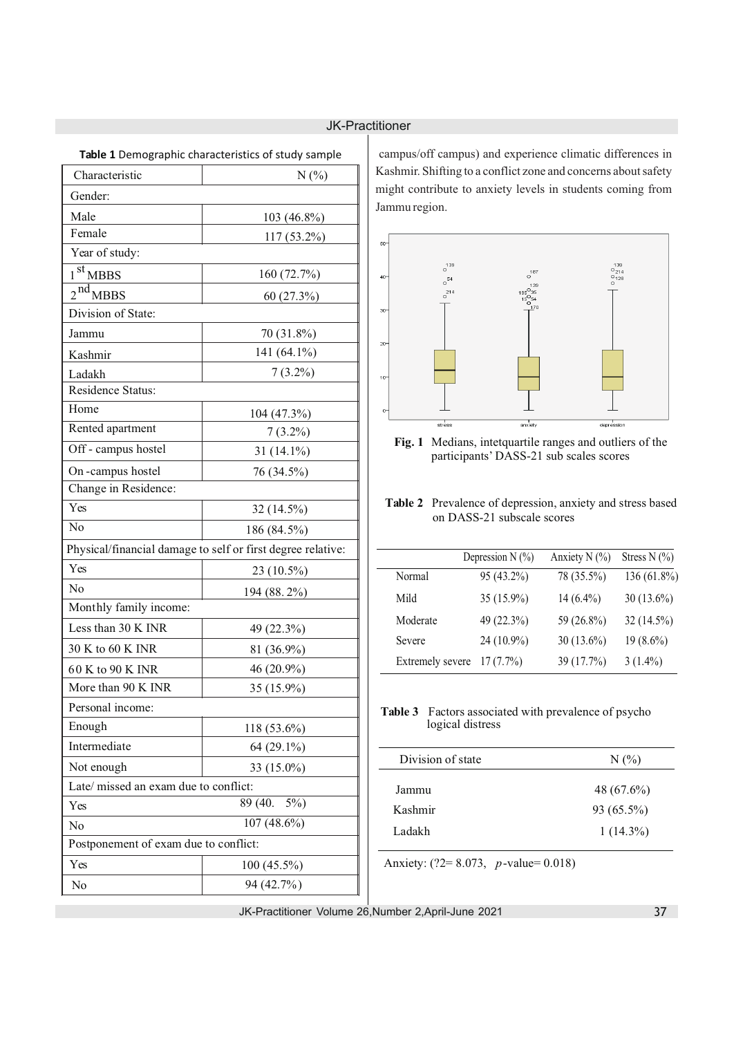| Characteristic                        | <b>Table 1</b> Demographic characteristics of study sample<br>N(%) |  |  |  |
|---------------------------------------|--------------------------------------------------------------------|--|--|--|
|                                       |                                                                    |  |  |  |
| Gender:                               |                                                                    |  |  |  |
| Male<br>Female                        | 103 (46.8%)                                                        |  |  |  |
|                                       | 117 (53.2%)                                                        |  |  |  |
| Year of study:                        |                                                                    |  |  |  |
| 1 <sup>st</sup> MBBS                  | 160 (72.7%)                                                        |  |  |  |
| 2 <sup>nd</sup> MBBS                  | 60 (27.3%)                                                         |  |  |  |
| Division of State:                    |                                                                    |  |  |  |
| Jammu                                 | 70 (31.8%)                                                         |  |  |  |
| Kashmir                               | 141 (64.1%)                                                        |  |  |  |
| Ladakh                                | $7(3.2\%)$                                                         |  |  |  |
| <b>Residence Status:</b>              |                                                                    |  |  |  |
| Home                                  | 104 (47.3%)                                                        |  |  |  |
| Rented apartment                      | $7(3.2\%)$                                                         |  |  |  |
| Off - campus hostel                   | 31 $(14.1\%)$                                                      |  |  |  |
| On-campus hostel                      | 76 (34.5%)                                                         |  |  |  |
| Change in Residence:                  |                                                                    |  |  |  |
| Yes                                   | 32 (14.5%)                                                         |  |  |  |
| No                                    | 186 (84.5%)                                                        |  |  |  |
|                                       | Physical/financial damage to self or first degree relative:        |  |  |  |
| Yes                                   | 23 (10.5%)                                                         |  |  |  |
| N <sub>0</sub>                        | 194 (88.2%)                                                        |  |  |  |
| Monthly family income:                |                                                                    |  |  |  |
| Less than 30 K INR                    | 49 (22.3%)                                                         |  |  |  |
| 30 K to 60 K INR                      | 81 (36.9%)                                                         |  |  |  |
| 60 K to 90 K INR                      | 46 (20.9%)                                                         |  |  |  |
| More than 90 K INR                    | 35 (15.9%)                                                         |  |  |  |
| Personal income:                      |                                                                    |  |  |  |
| Enough                                | 118 (53.6%)                                                        |  |  |  |
| Intermediate                          | 64 (29.1%)                                                         |  |  |  |
| Not enough                            | 33 (15.0%)                                                         |  |  |  |
| Late/ missed an exam due to conflict: |                                                                    |  |  |  |
| 89 (40.<br>$5\%)$<br>Yes              |                                                                    |  |  |  |
| 107 (48.6%)<br>No                     |                                                                    |  |  |  |
| Postponement of exam due to conflict: |                                                                    |  |  |  |
| Yes                                   | 100 (45.5%)                                                        |  |  |  |
| No                                    | 94 (42.7%)                                                         |  |  |  |

**Table 1** Demographic characteristics of study sample

campus/off campus) and experience climatic differences in Kashmir. Shifting to a conflict zone and concerns about safety might contribute to anxiety levels in students coming from Jammu region.



**Fig. 1** Medians, intetquartile ranges and outliers of the participants' DASS-21 sub scales scores

## **Table 2** Prevalence of depression, anxiety and stress based on DASS-21 subscale scores

|                  | Depression $N$ (%) | Anxiety N $(\% )$ | Stress $N$ (%) |
|------------------|--------------------|-------------------|----------------|
| Normal           | 95 (43.2%)         | 78 (35.5%)        | 136 (61.8%)    |
| Mild             | 35 (15.9%)         | $14(6.4\%)$       | $30(13.6\%)$   |
| Moderate         | 49 (22.3%)         | 59 (26.8%)        | $32(14.5\%)$   |
| Severe           | 24 (10.9%)         | $30(13.6\%)$      | $19(8.6\%)$    |
| Extremely severe | $17(7.7\%)$        | 39 (17.7%)        | $3(1.4\%)$     |

**Table 3** Factors associated with prevalence of psycho logical distress

| Division of state | $N(\%)$      |
|-------------------|--------------|
| Jammu             | 48 (67.6%)   |
| Kashmir           | $93(65.5\%)$ |
| Ladakh            | $1(14.3\%)$  |
|                   |              |

Anxiety: (?2= 8.073, *p*-value= 0.018)

JK-Practitioner Volume 26,Number 2,April-June 2021

 $\overline{\phantom{a}}$ 

 $\overline{a}$ Ĭ.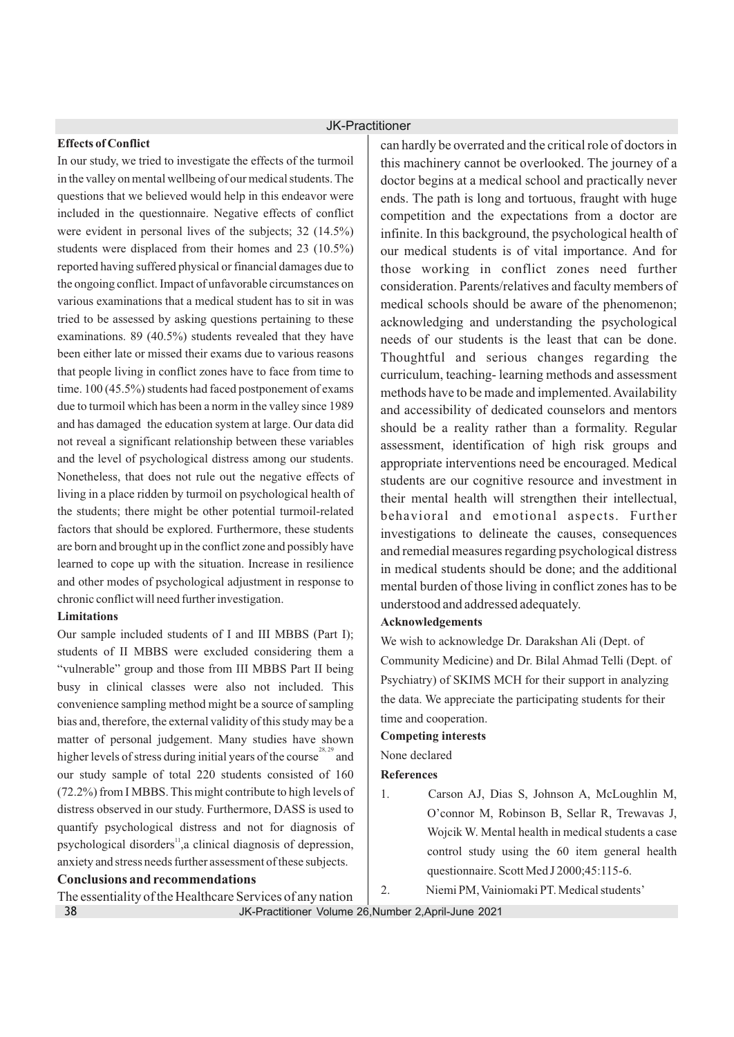## **Effects of Conflict**

In our study, we tried to investigate the effects of the turmoil in the valley on mental wellbeing of our medical students. The questions that we believed would help in this endeavor were included in the questionnaire. Negative effects of conflict were evident in personal lives of the subjects; 32 (14.5%) students were displaced from their homes and 23 (10.5%) reported having suffered physical or financial damages due to the ongoing conflict. Impact of unfavorable circumstances on various examinations that a medical student has to sit in was tried to be assessed by asking questions pertaining to these examinations. 89 (40.5%) students revealed that they have been either late or missed their exams due to various reasons that people living in conflict zones have to face from time to time. 100 (45.5%) students had faced postponement of exams due to turmoil which has been a norm in the valley since 1989 and has damaged the education system at large. Our data did not reveal a significant relationship between these variables and the level of psychological distress among our students. Nonetheless, that does not rule out the negative effects of living in a place ridden by turmoil on psychological health of the students; there might be other potential turmoil-related factors that should be explored. Furthermore, these students are born and brought up in the conflict zone and possibly have learned to cope up with the situation. Increase in resilience and other modes of psychological adjustment in response to chronic conflict will need further investigation.

## **Limitations**

Our sample included students of I and III MBBS (Part I); students of II MBBS were excluded considering them a "vulnerable" group and those from III MBBS Part II being busy in clinical classes were also not included. This convenience sampling method might be a source of sampling bias and, therefore, the external validity of this study may be a matter of personal judgement. Many studies have shown higher levels of stress during initial years of the course  $28, 29$  and our study sample of total 220 students consisted of 160 (72.2%) from I MBBS. This might contribute to high levels of distress observed in our study. Furthermore, DASS is used to quantify psychological distress and not for diagnosis of psychological disorders<sup>11</sup>, a clinical diagnosis of depression, anxiety and stress needs further assessment of these subjects.

### **Conclusions and recommendations**

The essentiality of the Healthcare Services of any nation 38

can hardly be overrated and the critical role of doctors in this machinery cannot be overlooked. The journey of a doctor begins at a medical school and practically never ends. The path is long and tortuous, fraught with huge competition and the expectations from a doctor are infinite. In this background, the psychological health of our medical students is of vital importance. And for those working in conflict zones need further consideration. Parents/relatives and faculty members of medical schools should be aware of the phenomenon; acknowledging and understanding the psychological needs of our students is the least that can be done. Thoughtful and serious changes regarding the curriculum, teaching- learning methods and assessment methods have to be made and implemented. Availability and accessibility of dedicated counselors and mentors should be a reality rather than a formality. Regular assessment, identification of high risk groups and appropriate interventions need be encouraged. Medical students are our cognitive resource and investment in their mental health will strengthen their intellectual, behavioral and emotional aspects. Further investigations to delineate the causes, consequences and remedial measures regarding psychological distress in medical students should be done; and the additional mental burden of those living in conflict zones has to be understood and addressed adequately.

## **Acknowledgements**

We wish to acknowledge Dr. Darakshan Ali (Dept. of Community Medicine) and Dr. Bilal Ahmad Telli (Dept. of Psychiatry) of SKIMS MCH for their support in analyzing the data. We appreciate the participating students for their time and cooperation.

### **Competing interests**

## None declared

**References**

- 1. Carson AJ, Dias S, Johnson A, McLoughlin M, O'connor M, Robinson B, Sellar R, Trewavas J, Wojcik W. Mental health in medical students a case control study using the 60 item general health questionnaire. Scott Med J 2000;45:115-6.
- 2. Niemi PM, Vainiomaki PT. Medical students'

JK-Practitioner Volume 26,Number 2,April-June 2021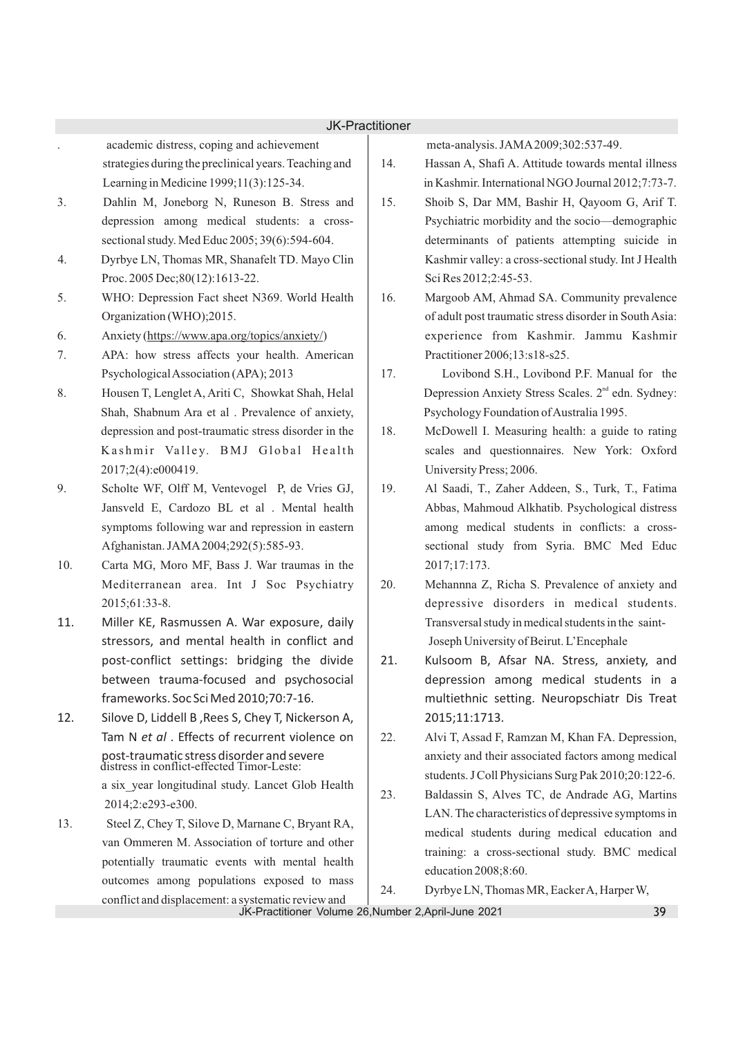- . academic distress, coping and achievement strategies during the preclinical years. Teaching and Learning in Medicine 1999;11(3):125-34.
- 3. Dahlin M, Joneborg N, Runeson B. Stress and depression among medical students: a crosssectional study. Med Educ 2005; 39(6):594-604.
- 4. Dyrbye LN, Thomas MR, Shanafelt TD. Mayo Clin Proc. 2005 Dec;80(12):1613-22.
- 5. WHO: Depression Fact sheet N369. World Health Organization (WHO);2015.
- 6. Anxiety (https://www.apa.org/topics/anxiety/)
- 7. APA: how stress affects your health. American Psychological Association (APA); 2013
- 8. Housen T, Lenglet A, Ariti C, Showkat Shah, Helal Shah, Shabnum Ara et al . Prevalence of anxiety, depression and post-traumatic stress disorder in the Kashmir Valley. BMJ Global Health 2017;2(4):e000419.
- 9. Scholte WF, Olff M, Ventevogel P, de Vries GJ, Jansveld E, Cardozo BL et al . Mental health symptoms following war and repression in eastern Afghanistan. JAMA2004;292(5):585-93.
- 10. Carta MG, Moro MF, Bass J. War traumas in the Mediterranean area. Int J Soc Psychiatry 2015;61:33-8.
- 11. Miller KE, Rasmussen A. War exposure, daily stressors, and mental health in conflict and post-conflict settings: bridging the divide between trauma-focused and psychosocial frameworks. Soc Sci Med 2010;70:7-16.
- 12. Silove D, Liddell B ,Rees S, Chey T, Nickerson A, Tam N *et al* . Effects of recurrent violence on post-traumatic stress disorder and severe distress in conflict-effected Timor-Leste: a six\_year longitudinal study. Lancet Glob Health
- 2014;2:e293-e300. 13. Steel Z, Chey T, Silove D, Marnane C, Bryant RA, van Ommeren M. Association of torture and other potentially traumatic events with mental health outcomes among populations exposed to mass conflict and displacement: a systematic review and

meta-analysis. JAMA2009;302:537-49.

- 14. Hassan A, Shafi A. Attitude towards mental illness in Kashmir. International NGO Journal 2012;7:73-7.
- 15. Shoib S, Dar MM, Bashir H, Qayoom G, Arif T. Psychiatric morbidity and the socio—demographic determinants of patients attempting suicide in Kashmir valley: a cross-sectional study. Int J Health Sci Res 2012;2:45-53.
- 16. Margoob AM, Ahmad SA. Community prevalence of adult post traumatic stress disorder in South Asia: experience from Kashmir. Jammu Kashmir Practitioner 2006;13:s18-s25.
- 17. Lovibond S.H., Lovibond P.F. Manual for the Depression Anxiety Stress Scales. 2<sup>nd</sup> edn. Sydney: Psychology Foundation of Australia 1995.
- 18. McDowell I. Measuring health: a guide to rating scales and questionnaires. New York: Oxford University Press; 2006.
- 19. Al Saadi, T., Zaher Addeen, S., Turk, T., Fatima Abbas, Mahmoud Alkhatib. Psychological distress among medical students in conflicts: a crosssectional study from Syria. BMC Med Educ 2017;17:173.
- 20. Mehannna Z, Richa S. Prevalence of anxiety and depressive disorders in medical students. Transversal study in medical students in the saint- Joseph University of Beirut. L'Encephale
- 21. Kulsoom B, Afsar NA. Stress, anxiety, and depression among medical students in a multiethnic setting. Neuropschiatr Dis Treat 2015;11:1713.
- 22. Alvi T, Assad F, Ramzan M, Khan FA. Depression, anxiety and their associated factors among medical students. J Coll Physicians Surg Pak 2010;20:122-6.
- 23. Baldassin S, Alves TC, de Andrade AG, Martins LAN. The characteristics of depressive symptoms in medical students during medical education and training: a cross-sectional study. BMC medical education 2008;8:60.
- 24. Dyrbye LN, Thomas MR, Eacker A, Harper W,

JK-Practitioner Volume 26,Number 2,April-June 2021